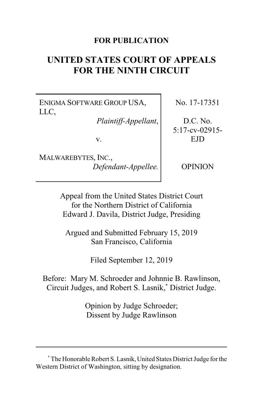# **FOR PUBLICATION**

# **UNITED STATES COURT OF APPEALS FOR THE NINTH CIRCUIT**

ENIGMA SOFTWARE GROUP USA, LLC,

*Plaintiff-Appellant*,

v.

MALWAREBYTES, INC., *Defendant-Appellee.* No. 17-17351

D.C. No. 5:17-cv-02915- EJD

OPINION

Appeal from the United States District Court for the Northern District of California Edward J. Davila, District Judge, Presiding

Argued and Submitted February 15, 2019 San Francisco, California

Filed September 12, 2019

Before: Mary M. Schroeder and Johnnie B. Rawlinson, Circuit Judges, and Robert S. Lasnik,**\*** District Judge.

> Opinion by Judge Schroeder; Dissent by Judge Rawlinson

**<sup>\*</sup>** The Honorable Robert S. Lasnik, United States District Judge for the Western District of Washington, sitting by designation.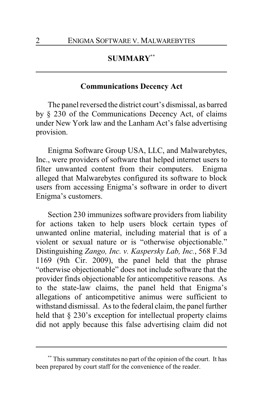# **SUMMARY\*\***

## **Communications Decency Act**

The panel reversed the district court's dismissal, as barred by § 230 of the Communications Decency Act, of claims under New York law and the Lanham Act's false advertising provision.

Enigma Software Group USA, LLC, and Malwarebytes, Inc., were providers of software that helped internet users to filter unwanted content from their computers. Enigma alleged that Malwarebytes configured its software to block users from accessing Enigma's software in order to divert Enigma's customers.

Section 230 immunizes software providers from liability for actions taken to help users block certain types of unwanted online material, including material that is of a violent or sexual nature or is "otherwise objectionable." Distinguishing *Zango, Inc. v. Kaspersky Lab, Inc.*, 568 F.3d 1169 (9th Cir. 2009), the panel held that the phrase "otherwise objectionable" does not include software that the provider finds objectionable for anticompetitive reasons. As to the state-law claims, the panel held that Enigma's allegations of anticompetitive animus were sufficient to withstand dismissal. As to the federal claim, the panel further held that § 230's exception for intellectual property claims did not apply because this false advertising claim did not

This summary constitutes no part of the opinion of the court. It has been prepared by court staff for the convenience of the reader.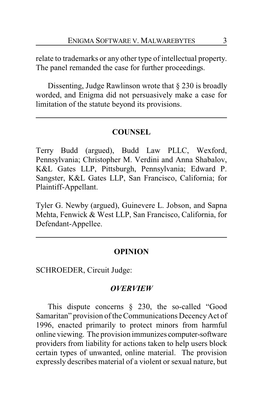relate to trademarks or any other type of intellectual property. The panel remanded the case for further proceedings.

Dissenting, Judge Rawlinson wrote that § 230 is broadly worded, and Enigma did not persuasively make a case for limitation of the statute beyond its provisions.

# **COUNSEL**

Terry Budd (argued), Budd Law PLLC, Wexford, Pennsylvania; Christopher M. Verdini and Anna Shabalov, K&L Gates LLP, Pittsburgh, Pennsylvania; Edward P. Sangster, K&L Gates LLP, San Francisco, California; for Plaintiff-Appellant.

Tyler G. Newby (argued), Guinevere L. Jobson, and Sapna Mehta, Fenwick & West LLP, San Francisco, California, for Defendant-Appellee.

## **OPINION**

SCHROEDER, Circuit Judge:

#### *OVERVIEW*

This dispute concerns § 230, the so-called "Good Samaritan" provision of the Communications Decency Act of 1996, enacted primarily to protect minors from harmful online viewing. The provision immunizes computer-software providers from liability for actions taken to help users block certain types of unwanted, online material. The provision expressly describes material of a violent or sexual nature, but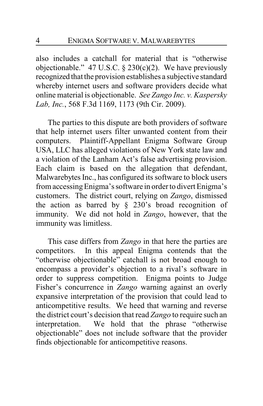also includes a catchall for material that is "otherwise objectionable." 47 U.S.C.  $\S$  230(c)(2). We have previously recognized that the provision establishes a subjective standard whereby internet users and software providers decide what online material is objectionable. *See Zango Inc. v. Kaspersky Lab, Inc.*, 568 F.3d 1169, 1173 (9th Cir. 2009).

The parties to this dispute are both providers of software that help internet users filter unwanted content from their computers. Plaintiff-Appellant Enigma Software Group USA, LLC has alleged violations of New York state law and a violation of the Lanham Act's false advertising provision. Each claim is based on the allegation that defendant, Malwarebytes Inc., has configured its software to block users from accessingEnigma's software in order to divert Enigma's customers. The district court, relying on *Zango*, dismissed the action as barred by  $\S$  230's broad recognition of immunity. We did not hold in *Zango*, however, that the immunity was limitless.

This case differs from *Zango* in that here the parties are competitors. In this appeal Enigma contends that the "otherwise objectionable" catchall is not broad enough to encompass a provider's objection to a rival's software in order to suppress competition. Enigma points to Judge Fisher's concurrence in *Zango* warning against an overly expansive interpretation of the provision that could lead to anticompetitive results. We heed that warning and reverse the district court's decision that read *Zango* to require such an interpretation. We hold that the phrase "otherwise objectionable" does not include software that the provider finds objectionable for anticompetitive reasons.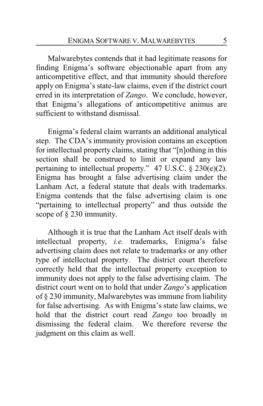Malwarebytes contends that it had legitimate reasons for finding Enigma's software objectionable apart from any anticompetitive effect, and that immunity should therefore apply on Enigma's state-law claims, even if the district court erred in its interpretation of *Zango*. We conclude, however, that Enigma's allegations of anticompetitive animus are sufficient to withstand dismissal.

Enigma's federal claim warrants an additional analytical step. The CDA's immunity provision contains an exception for intellectual property claims, stating that "[n]othing in this section shall be construed to limit or expand any law pertaining to intellectual property." 47 U.S.C. § 230(e)(2). Enigma has brought a false advertising claim under the Lanham Act, a federal statute that deals with trademarks. Enigma contends that the false advertising claim is one "pertaining to intellectual property" and thus outside the scope of § 230 immunity.

Although it is true that the Lanham Act itself deals with intellectual property, *i.e.* trademarks, Enigma's false advertising claim does not relate to trademarks or any other type of intellectual property. The district court therefore correctly held that the intellectual property exception to immunity does not apply to the false advertising claim. The district court went on to hold that under *Zango*'s application of § 230 immunity, Malwarebytes was immune from liability for false advertising. As with Enigma's state law claims, we hold that the district court read *Zango* too broadly in dismissing the federal claim. We therefore reverse the judgment on this claim as well.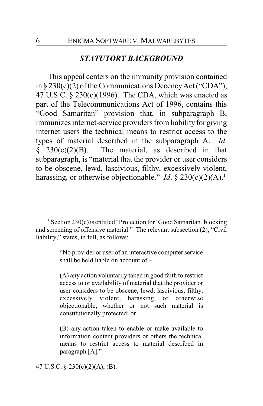#### *STATUTORY BACKGROUND*

This appeal centers on the immunity provision contained in  $\S 230(c)(2)$  of the Communications Decency Act ("CDA"), 47 U.S.C. § 230(c)(1996). The CDA, which was enacted as part of the Telecommunications Act of 1996, contains this "Good Samaritan" provision that, in subparagraph B, immunizes internet-service providers from liability for giving internet users the technical means to restrict access to the types of material described in the subparagraph A. *Id*.  $\hat{\S}$  230(c)(2)(B). The material, as described in that subparagraph, is "material that the provider or user considers to be obscene, lewd, lascivious, filthy, excessively violent, harassing, or otherwise objectionable." *Id.*  $\S$  230(c)(2)(A).<sup>1</sup>

"No provider or user of an interactive computer service shall be held liable on account of –

(A) any action voluntarily taken in good faith to restrict access to or availability of material that the provider or user considers to be obscene, lewd, lascivious, filthy, excessively violent, harassing, or otherwise objectionable, whether or not such material is constitutionally protected; or

(B) any action taken to enable or make available to information content providers or others the technical means to restrict access to material described in paragraph [A]."

47 U.S.C. § 230(c)(2)(A), (B).

**<sup>1</sup>** Section 230(c) is entitled "Protection for 'Good Samaritan' blocking and screening of offensive material." The relevant subsection (2), "Civil liability," states, in full, as follows: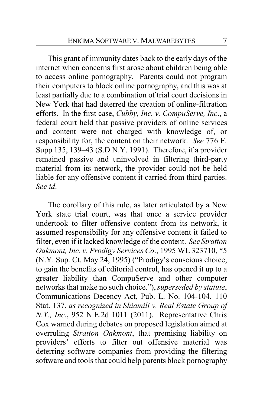This grant of immunity dates back to the early days of the internet when concerns first arose about children being able to access online pornography. Parents could not program their computers to block online pornography, and this was at least partially due to a combination of trial court decisions in New York that had deterred the creation of online-filtration efforts. In the first case, *Cubby, Inc. v. CompuServe, Inc*., a federal court held that passive providers of online services and content were not charged with knowledge of, or responsibility for, the content on their network. *See* 776 F. Supp 135, 139–43 (S.D.N.Y. 1991). Therefore, if a provider remained passive and uninvolved in filtering third-party material from its network, the provider could not be held liable for any offensive content it carried from third parties. *See id*.

The corollary of this rule, as later articulated by a New York state trial court, was that once a service provider undertook to filter offensive content from its network, it assumed responsibility for any offensive content it failed to filter, even if it lacked knowledge of the content. *See Stratton Oakmont, Inc. v. Prodigy Services Co*., 1995 WL 323710, \*5 (N.Y. Sup. Ct. May 24, 1995) ("Prodigy's conscious choice, to gain the benefits of editorial control, has opened it up to a greater liability than CompuServe and other computer networks that make no such choice."), *superseded by statute*, Communications Decency Act, Pub. L. No. 104-104, 110 Stat. 137, *as recognized in Shiamili v. Real Estate Group of N.Y., Inc*., 952 N.E.2d 1011 (2011). Representative Chris Cox warned during debates on proposed legislation aimed at overruling *Stratton Oakmont*, that premising liability on providers' efforts to filter out offensive material was deterring software companies from providing the filtering software and tools that could help parents block pornography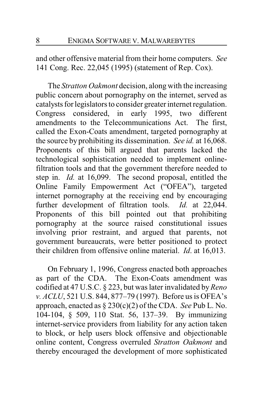and other offensive material from their home computers. *See* 141 Cong. Rec. 22,045 (1995) (statement of Rep. Cox).

The *Stratton Oakmont* decision, along with the increasing public concern about pornography on the internet, served as catalysts for legislators to consider greater internet regulation. Congress considered, in early 1995, two different amendments to the Telecommunications Act. The first, called the Exon-Coats amendment, targeted pornography at the source by prohibiting its dissemination. *See id.* at 16,068. Proponents of this bill argued that parents lacked the technological sophistication needed to implement onlinefiltration tools and that the government therefore needed to step in. *Id.* at 16,099. The second proposal, entitled the Online Family Empowerment Act ("OFEA"), targeted internet pornography at the receiving end by encouraging further development of filtration tools. *Id.* at 22,044. Proponents of this bill pointed out that prohibiting pornography at the source raised constitutional issues involving prior restraint, and argued that parents, not government bureaucrats, were better positioned to protect their children from offensive online material. *Id*. at 16,013.

On February 1, 1996, Congress enacted both approaches as part of the CDA. The Exon-Coats amendment was codified at 47 U.S.C. § 223, but was later invalidated by*Reno v. ACLU*, 521 U.S. 844, 877–79 (1997). Before us is OFEA's approach, enacted as § 230(c)(2) of the CDA. *See* Pub L. No. 104-104, § 509, 110 Stat. 56, 137–39. By immunizing internet-service providers from liability for any action taken to block, or help users block offensive and objectionable online content, Congress overruled *Stratton Oakmont* and thereby encouraged the development of more sophisticated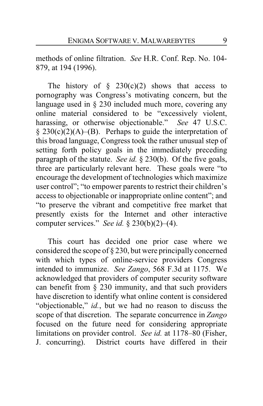methods of online filtration. *See* H.R. Conf. Rep. No. 104- 879, at 194 (1996).

The history of  $\S$  230(c)(2) shows that access to pornography was Congress's motivating concern, but the language used in § 230 included much more, covering any online material considered to be "excessively violent, harassing, or otherwise objectionable." *See* 47 U.S.C.  $§$  230(c)(2)(A)–(B). Perhaps to guide the interpretation of this broad language, Congress took the rather unusual step of setting forth policy goals in the immediately preceding paragraph of the statute. *See id.* § 230(b). Of the five goals, three are particularly relevant here. These goals were "to encourage the development of technologies which maximize user control"; "to empower parents to restrict their children's access to objectionable or inappropriate online content"; and "to preserve the vibrant and competitive free market that presently exists for the Internet and other interactive computer services." *See id.* § 230(b)(2)–(4).

This court has decided one prior case where we considered the scope of § 230, but were principally concerned with which types of online-service providers Congress intended to immunize. *See Zango*, 568 F.3d at 1175. We acknowledged that providers of computer security software can benefit from § 230 immunity, and that such providers have discretion to identify what online content is considered "objectionable," *id.*, but we had no reason to discuss the scope of that discretion. The separate concurrence in *Zango* focused on the future need for considering appropriate limitations on provider control. *See id.* at 1178–80 (Fisher, J. concurring). District courts have differed in their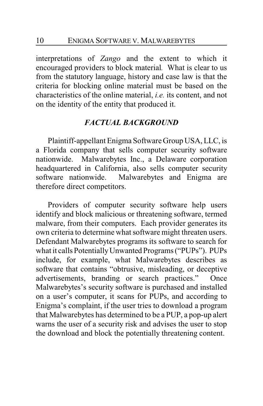interpretations of *Zango* and the extent to which it encouraged providers to block material*.* What is clear to us from the statutory language, history and case law is that the criteria for blocking online material must be based on the characteristics of the online material, *i.e.* its content, and not on the identity of the entity that produced it.

## *FACTUAL BACKGROUND*

Plaintiff-appellant Enigma Software Group USA, LLC, is a Florida company that sells computer security software nationwide. Malwarebytes Inc., a Delaware corporation headquartered in California, also sells computer security software nationwide. Malwarebytes and Enigma are therefore direct competitors.

Providers of computer security software help users identify and block malicious or threatening software, termed malware, from their computers. Each provider generates its own criteria to determine what software might threaten users. Defendant Malwarebytes programs its software to search for what it calls Potentially Unwanted Programs ("PUPs"). PUPs include, for example, what Malwarebytes describes as software that contains "obtrusive, misleading, or deceptive advertisements, branding or search practices." Once Malwarebytes's security software is purchased and installed on a user's computer, it scans for PUPs, and according to Enigma's complaint, if the user tries to download a program that Malwarebytes has determined to be a PUP, a pop-up alert warns the user of a security risk and advises the user to stop the download and block the potentially threatening content.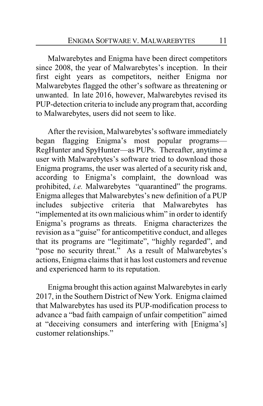Malwarebytes and Enigma have been direct competitors since 2008, the year of Malwarebytes's inception. In their first eight years as competitors, neither Enigma nor Malwarebytes flagged the other's software as threatening or unwanted. In late 2016, however, Malwarebytes revised its PUP-detection criteria to include any program that, according to Malwarebytes, users did not seem to like.

After the revision, Malwarebytes's software immediately began flagging Enigma's most popular programs— RegHunter and SpyHunter—as PUPs. Thereafter, anytime a user with Malwarebytes's software tried to download those Enigma programs, the user was alerted of a security risk and, according to Enigma's complaint, the download was prohibited, *i.e.* Malwarebytes "quarantined" the programs. Enigma alleges that Malwarebytes's new definition of a PUP includes subjective criteria that Malwarebytes has "implemented at its own malicious whim" in order to identify Enigma's programs as threats. Enigma characterizes the revision as a "guise" for anticompetitive conduct, and alleges that its programs are "legitimate", "highly regarded", and "pose no security threat." As a result of Malwarebytes's actions, Enigma claims that it has lost customers and revenue and experienced harm to its reputation.

Enigma brought this action against Malwarebytes in early 2017, in the Southern District of New York. Enigma claimed that Malwarebytes has used its PUP-modification process to advance a "bad faith campaign of unfair competition" aimed at "deceiving consumers and interfering with [Enigma's] customer relationships."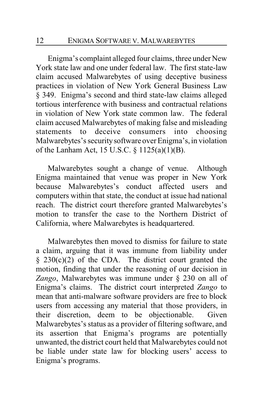Enigma's complaint alleged four claims, three under New York state law and one under federal law. The first state-law claim accused Malwarebytes of using deceptive business practices in violation of New York General Business Law § 349. Enigma's second and third state-law claims alleged tortious interference with business and contractual relations in violation of New York state common law. The federal claim accused Malwarebytes of making false and misleading statements to deceive consumers into choosing Malwarebytes's securitysoftware over Enigma's, in violation of the Lanham Act, 15 U.S.C. § 1125(a)(1)(B).

Malwarebytes sought a change of venue. Although Enigma maintained that venue was proper in New York because Malwarebytes's conduct affected users and computers within that state, the conduct at issue had national reach. The district court therefore granted Malwarebytes's motion to transfer the case to the Northern District of California, where Malwarebytes is headquartered.

Malwarebytes then moved to dismiss for failure to state a claim, arguing that it was immune from liability under  $§$  230(c)(2) of the CDA. The district court granted the motion, finding that under the reasoning of our decision in *Zango*, Malwarebytes was immune under § 230 on all of Enigma's claims. The district court interpreted *Zango* to mean that anti-malware software providers are free to block users from accessing any material that those providers, in their discretion, deem to be objectionable. Given Malwarebytes's status as a provider of filtering software, and its assertion that Enigma's programs are potentially unwanted, the district court held that Malwarebytes could not be liable under state law for blocking users' access to Enigma's programs.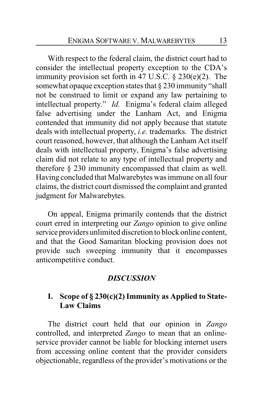With respect to the federal claim, the district court had to consider the intellectual property exception to the CDA's immunity provision set forth in 47 U.S.C. § 230(e)(2). The somewhat opaque exception states that  $\S 230$  immunity "shall not be construed to limit or expand any law pertaining to intellectual property." *Id.* Enigma's federal claim alleged false advertising under the Lanham Act, and Enigma contended that immunity did not apply because that statute deals with intellectual property, *i.e.* trademarks. The district court reasoned, however, that although the Lanham Act itself deals with intellectual property, Enigma's false advertising claim did not relate to any type of intellectual property and therefore § 230 immunity encompassed that claim as well. Having concluded that Malwarebytes was immune on all four claims, the district court dismissed the complaint and granted judgment for Malwarebytes.

On appeal, Enigma primarily contends that the district court erred in interpreting our *Zango* opinion to give online service providers unlimited discretion to block online content, and that the Good Samaritan blocking provision does not provide such sweeping immunity that it encompasses anticompetitive conduct.

# *DISCUSSION*

# **I. Scope of § 230(c)(2) Immunity as Applied to State-Law Claims**

The district court held that our opinion in *Zango* controlled, and interpreted *Zango* to mean that an onlineservice provider cannot be liable for blocking internet users from accessing online content that the provider considers objectionable, regardless of the provider's motivations or the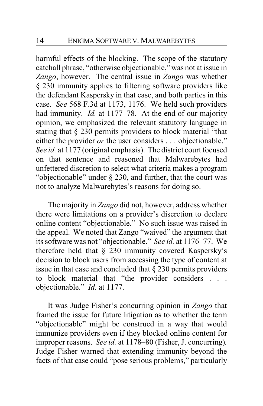harmful effects of the blocking. The scope of the statutory catchall phrase, "otherwise objectionable," was not at issue in *Zango*, however. The central issue in *Zango* was whether § 230 immunity applies to filtering software providers like the defendant Kaspersky in that case, and both parties in this case. *See* 568 F.3d at 1173, 1176. We held such providers had immunity. *Id.* at 1177–78. At the end of our majority opinion, we emphasized the relevant statutory language in stating that § 230 permits providers to block material "that either the provider *or* the user considers . . . objectionable." *See id.* at 1177 (original emphasis). The district court focused on that sentence and reasoned that Malwarebytes had unfettered discretion to select what criteria makes a program "objectionable" under § 230, and further, that the court was not to analyze Malwarebytes's reasons for doing so.

The majority in *Zango* did not, however, address whether there were limitations on a provider's discretion to declare online content "objectionable." No such issue was raised in the appeal. We noted that Zango "waived" the argument that its software was not "objectionable." *See id.* at 1176–77. We therefore held that § 230 immunity covered Kaspersky's decision to block users from accessing the type of content at issue in that case and concluded that § 230 permits providers to block material that "the provider considers . . . objectionable." *Id.* at 1177.

It was Judge Fisher's concurring opinion in *Zango* that framed the issue for future litigation as to whether the term "objectionable" might be construed in a way that would immunize providers even if they blocked online content for improper reasons. *See id.* at 1178–80 (Fisher, J. concurring)*.*  Judge Fisher warned that extending immunity beyond the facts of that case could "pose serious problems," particularly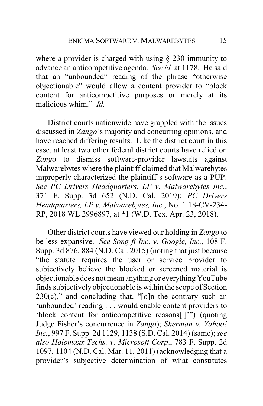where a provider is charged with using § 230 immunity to advance an anticompetitive agenda. *See id.* at 1178. He said that an "unbounded" reading of the phrase "otherwise objectionable" would allow a content provider to "block content for anticompetitive purposes or merely at its malicious whim." *Id.*

District courts nationwide have grappled with the issues discussed in *Zango*'s majority and concurring opinions, and have reached differing results. Like the district court in this case, at least two other federal district courts have relied on *Zango* to dismiss software-provider lawsuits against Malwarebytes where the plaintiff claimed that Malwarebytes improperly characterized the plaintiff's software as a PUP. *See PC Drivers Headquarters, LP v. Malwarebytes Inc.*, 371 F. Supp. 3d 652 (N.D. Cal. 2019); *PC Drivers Headquarters, LP v. Malwarebytes, Inc.*, No. 1:18-CV-234- RP, 2018 WL 2996897, at \*1 (W.D. Tex. Apr. 23, 2018).

Other district courts have viewed our holding in *Zango* to be less expansive. *See Song fi Inc. v. Google, Inc.*, 108 F. Supp. 3d 876, 884 (N.D. Cal. 2015) (noting that just because "the statute requires the user or service provider to subjectively believe the blocked or screened material is objectionable does not mean anything or everything YouTube finds subjectivelyobjectionable is within the scope of Section  $230(c)$ ," and concluding that, "[o]n the contrary such an 'unbounded' reading . . . would enable content providers to 'block content for anticompetitive reasons[.]'") (quoting Judge Fisher's concurrence in *Zango*); *Sherman v. Yahoo! Inc.*, 997 F. Supp. 2d 1129, 1138 (S.D. Cal. 2014) (same);*see also Holomaxx Techs. v. Microsoft Corp*., 783 F. Supp. 2d 1097, 1104 (N.D. Cal. Mar. 11, 2011) (acknowledging that a provider's subjective determination of what constitutes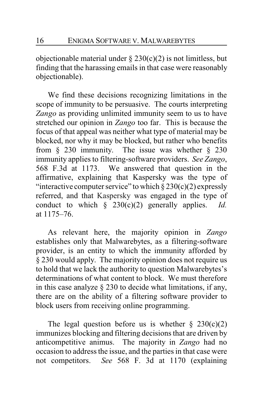objectionable material under  $\S 230(c)(2)$  is not limitless, but finding that the harassing emails in that case were reasonably objectionable).

We find these decisions recognizing limitations in the scope of immunity to be persuasive. The courts interpreting *Zango* as providing unlimited immunity seem to us to have stretched our opinion in *Zango* too far. This is because the focus of that appeal was neither what type of material may be blocked, nor why it may be blocked, but rather who benefits from  $\S$  230 immunity. The issue was whether  $\S$  230 immunity applies to filtering-software providers. *See Zango*, 568 F.3d at 1173. We answered that question in the affirmative, explaining that Kaspersky was the type of "interactive computer service" to which  $\S 230(c)(2)$  expressly referred, and that Kaspersky was engaged in the type of conduct to which § 230(c)(2) generally applies. *Id.* at 1175–76.

As relevant here, the majority opinion in *Zango* establishes only that Malwarebytes, as a filtering-software provider, is an entity to which the immunity afforded by § 230 would apply. The majority opinion does not require us to hold that we lack the authority to question Malwarebytes's determinations of what content to block. We must therefore in this case analyze § 230 to decide what limitations, if any, there are on the ability of a filtering software provider to block users from receiving online programming.

The legal question before us is whether  $\S$  230(c)(2) immunizes blocking and filtering decisions that are driven by anticompetitive animus. The majority in *Zango* had no occasion to address the issue, and the parties in that case were not competitors. *See* 568 F. 3d at 1170 (explaining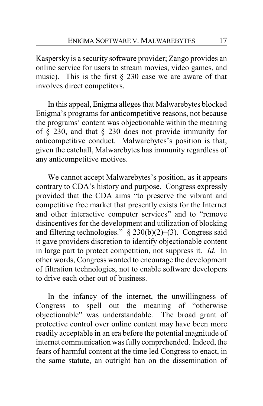Kaspersky is a security software provider; Zango provides an online service for users to stream movies, video games, and music). This is the first  $\S$  230 case we are aware of that involves direct competitors.

In this appeal, Enigma alleges that Malwarebytes blocked Enigma's programs for anticompetitive reasons, not because the programs' content was objectionable within the meaning of § 230, and that § 230 does not provide immunity for anticompetitive conduct. Malwarebytes's position is that, given the catchall, Malwarebytes has immunity regardless of any anticompetitive motives.

We cannot accept Malwarebytes's position, as it appears contrary to CDA's history and purpose. Congress expressly provided that the CDA aims "to preserve the vibrant and competitive free market that presently exists for the Internet and other interactive computer services" and to "remove disincentives for the development and utilization of blocking and filtering technologies." § 230(b)(2)–(3). Congress said it gave providers discretion to identify objectionable content in large part to protect competition, not suppress it. *Id.* In other words, Congress wanted to encourage the development of filtration technologies, not to enable software developers to drive each other out of business.

In the infancy of the internet, the unwillingness of Congress to spell out the meaning of "otherwise objectionable" was understandable. The broad grant of objectionable" was understandable. protective control over online content may have been more readily acceptable in an era before the potential magnitude of internet communication was fully comprehended. Indeed, the fears of harmful content at the time led Congress to enact, in the same statute, an outright ban on the dissemination of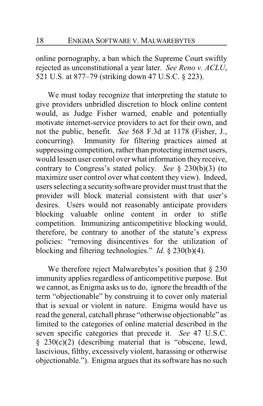online pornography, a ban which the Supreme Court swiftly rejected as unconstitutional a year later. *See Reno v. ACLU*, 521 U.S. at 877–79 (striking down 47 U.S.C. § 223).

We must today recognize that interpreting the statute to give providers unbridled discretion to block online content would, as Judge Fisher warned, enable and potentially motivate internet-service providers to act for their own, and not the public, benefit. *See* 568 F.3d at 1178 (Fisher, J., concurring). Immunity for filtering practices aimed at suppressing competition, rather than protecting internet users, would lessen user control over what information they receive, contrary to Congress's stated policy. *See* § 230(b)(3) (to maximize user control over what content they view). Indeed, users selecting a security software provider must trust that the provider will block material consistent with that user's desires. Users would not reasonably anticipate providers blocking valuable online content in order to stifle competition. Immunizing anticompetitive blocking would, therefore, be contrary to another of the statute's express policies: "removing disincentives for the utilization of blocking and filtering technologies." *Id*. § 230(b)(4).

We therefore reject Malwarebytes's position that § 230 immunity applies regardless of anticompetitive purpose. But we cannot, as Enigma asks us to do, ignore the breadth of the term "objectionable" by construing it to cover only material that is sexual or violent in nature. Enigma would have us read the general, catchall phrase "otherwise objectionable" as limited to the categories of online material described in the seven specific categories that precede it. *See* 47 U.S.C. § 230(c)(2) (describing material that is "obscene, lewd, lascivious, filthy, excessively violent, harassing or otherwise objectionable."). Enigma argues that its software has no such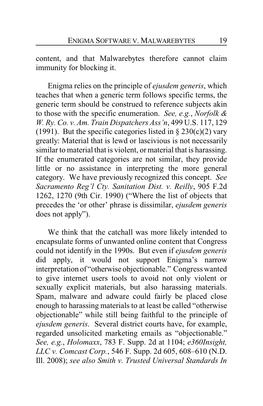content, and that Malwarebytes therefore cannot claim immunity for blocking it.

Enigma relies on the principle of *ejusdem generis*, which teaches that when a generic term follows specific terms, the generic term should be construed to reference subjects akin to those with the specific enumeration. *See, e.g.*, *Norfolk & W. Ry. Co. v. Am. Train Dispatchers Ass'n*, 499 U.S. 117, 129 (1991). But the specific categories listed in  $\S 230(c)(2)$  vary greatly: Material that is lewd or lascivious is not necessarily similar to material that is violent, or material that is harassing. If the enumerated categories are not similar, they provide little or no assistance in interpreting the more general category. We have previously recognized this concept. *See Sacramento Reg'l Cty. Sanitation Dist. v. Reilly*, 905 F.2d 1262, 1270 (9th Cir. 1990) ("Where the list of objects that precedes the 'or other' phrase is dissimilar, *ejusdem generis* does not apply").

We think that the catchall was more likely intended to encapsulate forms of unwanted online content that Congress could not identify in the 1990s. But even if *ejusdem generis* did apply, it would not support Enigma's narrow interpretation of "otherwise objectionable." Congress wanted to give internet users tools to avoid not only violent or sexually explicit materials, but also harassing materials. Spam, malware and adware could fairly be placed close enough to harassing materials to at least be called "otherwise objectionable" while still being faithful to the principle of *ejusdem generis*. Several district courts have, for example, regarded unsolicited marketing emails as "objectionable." *See, e.g.*, *Holomaxx*, 783 F. Supp. 2d at 1104; *e360Insight, LLC v. Comcast Corp.*, 546 F. Supp. 2d 605, 608–610 (N.D. Ill. 2008); *see also Smith v. Trusted Universal Standards In*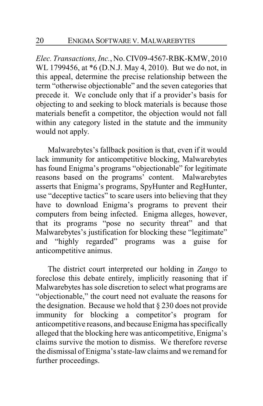*Elec. Transactions, Inc.*, No.CIV09-4567-RBK-KMW, 2010 WL 1799456, at \*6 (D.N.J. May 4, 2010). But we do not, in this appeal, determine the precise relationship between the term "otherwise objectionable" and the seven categories that precede it. We conclude only that if a provider's basis for objecting to and seeking to block materials is because those materials benefit a competitor, the objection would not fall within any category listed in the statute and the immunity would not apply.

Malwarebytes's fallback position is that, even if it would lack immunity for anticompetitive blocking, Malwarebytes has found Enigma's programs "objectionable" for legitimate reasons based on the programs' content. Malwarebytes asserts that Enigma's programs, SpyHunter and RegHunter, use "deceptive tactics" to scare users into believing that they have to download Enigma's programs to prevent their computers from being infected. Enigma alleges, however, that its programs "pose no security threat" and that Malwarebytes's justification for blocking these "legitimate" and "highly regarded" programs was a guise for anticompetitive animus.

The district court interpreted our holding in *Zango* to foreclose this debate entirely, implicitly reasoning that if Malwarebytes has sole discretion to select what programs are "objectionable," the court need not evaluate the reasons for the designation. Because we hold that § 230 does not provide immunity for blocking a competitor's program for anticompetitive reasons, and because Enigma has specifically alleged that the blocking here was anticompetitive, Enigma's claims survive the motion to dismiss. We therefore reverse the dismissal of Enigma's state-law claims and we remand for further proceedings.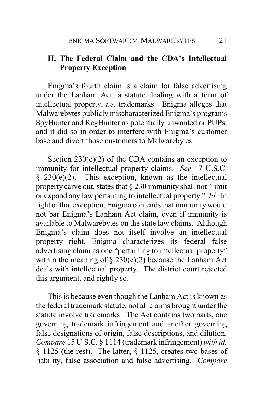# **II. The Federal Claim and the CDA's Intellectual Property Exception**

Enigma's fourth claim is a claim for false advertising under the Lanham Act, a statute dealing with a form of intellectual property, *i.e*. trademarks. Enigma alleges that Malwarebytes publicly mischaracterized Enigma's programs SpyHunter and RegHunter as potentially unwanted or PUPs, and it did so in order to interfere with Enigma's customer base and divert those customers to Malwarebytes.

Section  $230(e)(2)$  of the CDA contains an exception to immunity for intellectual property claims. *See* 47 U.S.C.  $§$  230(e)(2). This exception, known as the intellectual property carve out, states that § 230 immunity shall not "limit or expand any law pertaining to intellectual property." *Id.* In light of that exception, Enigma contends that immunitywould not bar Enigma's Lanham Act claim, even if immunity is available to Malwarebytes on the state law claims. Although Enigma's claim does not itself involve an intellectual property right, Enigma characterizes its federal false advertising claim as one "pertaining to intellectual property" within the meaning of  $\S 230(e)(2)$  because the Lanham Act deals with intellectual property. The district court rejected this argument, and rightly so.

This is because even though the Lanham Act is known as the federal trademark statute, not all claims brought under the statute involve trademarks. The Act contains two parts, one governing trademark infringement and another governing false designations of origin, false descriptions, and dilution. *Compare* 15 U.S.C. § 1114 (trademark infringement) *with id.* § 1125 (the rest). The latter, § 1125, creates two bases of liability, false association and false advertising. *Compare*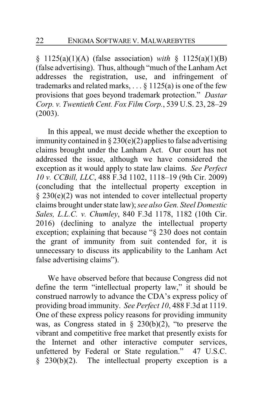§ 1125(a)(1)(A) (false association) *with* § 1125(a)(1)(B) (false advertising). Thus, although "much of the Lanham Act addresses the registration, use, and infringement of trademarks and related marks,  $\ldots$  § 1125(a) is one of the few provisions that goes beyond trademark protection." *Dastar Corp. v. Twentieth Cent. Fox Film Corp.*, 539 U.S. 23, 28–29 (2003).

In this appeal, we must decide whether the exception to immunity contained in  $\S 230(e)(2)$  applies to false advertising claims brought under the Lanham Act. Our court has not addressed the issue, although we have considered the exception as it would apply to state law claims. *See Perfect 10 v. CCBill, LLC*, 488 F.3d 1102, 1118–19 (9th Cir. 2009) (concluding that the intellectual property exception in § 230(e)(2) was not intended to cover intellectual property claims brought under state law); *see also Gen. Steel Domestic Sales, L.L.C. v. Chumley*, 840 F.3d 1178, 1182 (10th Cir. 2016) (declining to analyze the intellectual property exception; explaining that because "§ 230 does not contain the grant of immunity from suit contended for, it is unnecessary to discuss its applicability to the Lanham Act false advertising claims").

We have observed before that because Congress did not define the term "intellectual property law," it should be construed narrowly to advance the CDA's express policy of providing broad immunity. *See Perfect 10*, 488 F.3d at 1119. One of these express policy reasons for providing immunity was, as Congress stated in  $\S$  230(b)(2), "to preserve the vibrant and competitive free market that presently exists for the Internet and other interactive computer services, unfettered by Federal or State regulation." 47 U.S.C. § 230(b)(2). The intellectual property exception is a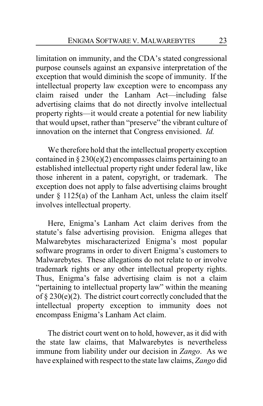limitation on immunity, and the CDA's stated congressional purpose counsels against an expansive interpretation of the exception that would diminish the scope of immunity. If the intellectual property law exception were to encompass any claim raised under the Lanham Act—including false advertising claims that do not directly involve intellectual property rights—it would create a potential for new liability that would upset, rather than "preserve" the vibrant culture of innovation on the internet that Congress envisioned. *Id.*

We therefore hold that the intellectual property exception contained in § 230(e)(2) encompasses claims pertaining to an established intellectual property right under federal law, like those inherent in a patent, copyright, or trademark. The exception does not apply to false advertising claims brought under  $\S$  1125(a) of the Lanham Act, unless the claim itself involves intellectual property.

Here, Enigma's Lanham Act claim derives from the statute's false advertising provision. Enigma alleges that Malwarebytes mischaracterized Enigma's most popular software programs in order to divert Enigma's customers to Malwarebytes. These allegations do not relate to or involve trademark rights or any other intellectual property rights. Thus, Enigma's false advertising claim is not a claim "pertaining to intellectual property law" within the meaning of § 230(e)(2). The district court correctly concluded that the intellectual property exception to immunity does not encompass Enigma's Lanham Act claim.

The district court went on to hold, however, as it did with the state law claims, that Malwarebytes is nevertheless immune from liability under our decision in *Zango*. As we have explained with respect to the state law claims, *Zango* did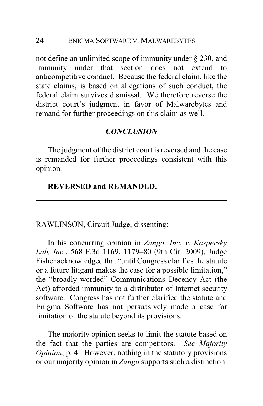not define an unlimited scope of immunity under § 230, and immunity under that section does not extend to anticompetitive conduct. Because the federal claim, like the state claims, is based on allegations of such conduct, the federal claim survives dismissal. We therefore reverse the district court's judgment in favor of Malwarebytes and remand for further proceedings on this claim as well.

#### *CONCLUSION*

The judgment of the district court is reversed and the case is remanded for further proceedings consistent with this opinion.

#### **REVERSED and REMANDED.**

RAWLINSON, Circuit Judge, dissenting:

In his concurring opinion in *Zango, Inc. v. Kaspersky Lab, Inc.*, 568 F.3d 1169, 1179–80 (9th Cir. 2009), Judge Fisher acknowledged that "until Congress clarifies the statute or a future litigant makes the case for a possible limitation," the "broadly worded" Communications Decency Act (the Act) afforded immunity to a distributor of Internet security software. Congress has not further clarified the statute and Enigma Software has not persuasively made a case for limitation of the statute beyond its provisions.

The majority opinion seeks to limit the statute based on the fact that the parties are competitors. *See Majority Opinion*, p. 4. However, nothing in the statutory provisions or our majority opinion in *Zango* supports such a distinction.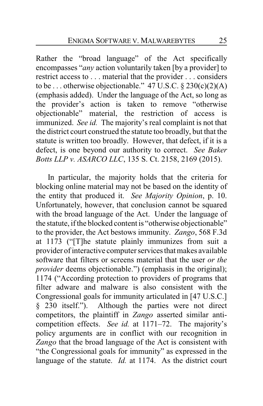Rather the "broad language" of the Act specifically encompasses "*any* action voluntarily taken [by a provider] to restrict access to . . . material that the provider . . . considers to be ... otherwise objectionable."  $47 \text{ U.S.C.} \$   $230 \text{ (c)} \text{ (2)} \text{ (A)}$ (emphasis added). Under the language of the Act, so long as the provider's action is taken to remove "otherwise objectionable" material, the restriction of access is immunized. *See id.* The majority's real complaint is not that the district court construed the statute too broadly, but that the statute is written too broadly. However, that defect, if it is a defect, is one beyond our authority to correct. *See Baker Botts LLP v. ASARCO LLC*, 135 S. Ct. 2158, 2169 (2015).

In particular, the majority holds that the criteria for blocking online material may not be based on the identity of the entity that produced it. *See Majority Opinion*, p. 10. Unfortunately, however, that conclusion cannot be squared with the broad language of the Act. Under the language of the statute, if the blocked content is "otherwise objectionable" to the provider, the Act bestows immunity. *Zango*, 568 F.3d at 1173 ("[T]he statute plainly immunizes from suit a provider of interactive computer services that makes available software that filters or screens material that the user *or the provider* deems objectionable.") (emphasis in the original); 1174 ("According protection to providers of programs that filter adware and malware is also consistent with the Congressional goals for immunity articulated in [47 U.S.C.] § 230 itself."). Although the parties were not direct competitors, the plaintiff in *Zango* asserted similar anticompetition effects. *See id.* at 1171–72. The majority's policy arguments are in conflict with our recognition in *Zango* that the broad language of the Act is consistent with "the Congressional goals for immunity" as expressed in the language of the statute. *Id.* at 1174. As the district court